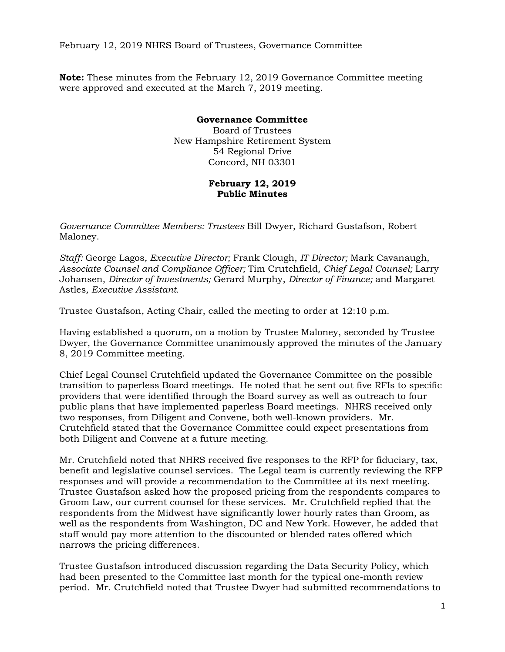February 12, 2019 NHRS Board of Trustees, Governance Committee

**Note:** These minutes from the February 12, 2019 Governance Committee meeting were approved and executed at the March 7, 2019 meeting.

## **Governance Committee**  Board of Trustees New Hampshire Retirement System 54 Regional Drive Concord, NH 03301

## **February 12, 2019 Public Minutes**

*Governance Committee Members: Trustees* Bill Dwyer, Richard Gustafson, Robert Maloney.

*Staff:* George Lagos*, Executive Director;* Frank Clough, *IT Director;* Mark Cavanaugh*, Associate Counsel and Compliance Officer;* Tim Crutchfield*, Chief Legal Counsel;* Larry Johansen, *Director of Investments;* Gerard Murphy, *Director of Finance;* and Margaret Astles*, Executive Assistant.* 

Trustee Gustafson, Acting Chair, called the meeting to order at 12:10 p.m.

Having established a quorum, on a motion by Trustee Maloney, seconded by Trustee Dwyer, the Governance Committee unanimously approved the minutes of the January 8, 2019 Committee meeting.

Chief Legal Counsel Crutchfield updated the Governance Committee on the possible transition to paperless Board meetings. He noted that he sent out five RFIs to specific providers that were identified through the Board survey as well as outreach to four public plans that have implemented paperless Board meetings. NHRS received only two responses, from Diligent and Convene, both well-known providers. Mr. Crutchfield stated that the Governance Committee could expect presentations from both Diligent and Convene at a future meeting.

Mr. Crutchfield noted that NHRS received five responses to the RFP for fiduciary, tax, benefit and legislative counsel services. The Legal team is currently reviewing the RFP responses and will provide a recommendation to the Committee at its next meeting. Trustee Gustafson asked how the proposed pricing from the respondents compares to Groom Law, our current counsel for these services. Mr. Crutchfield replied that the respondents from the Midwest have significantly lower hourly rates than Groom, as well as the respondents from Washington, DC and New York. However, he added that staff would pay more attention to the discounted or blended rates offered which narrows the pricing differences.

Trustee Gustafson introduced discussion regarding the Data Security Policy, which had been presented to the Committee last month for the typical one-month review period. Mr. Crutchfield noted that Trustee Dwyer had submitted recommendations to